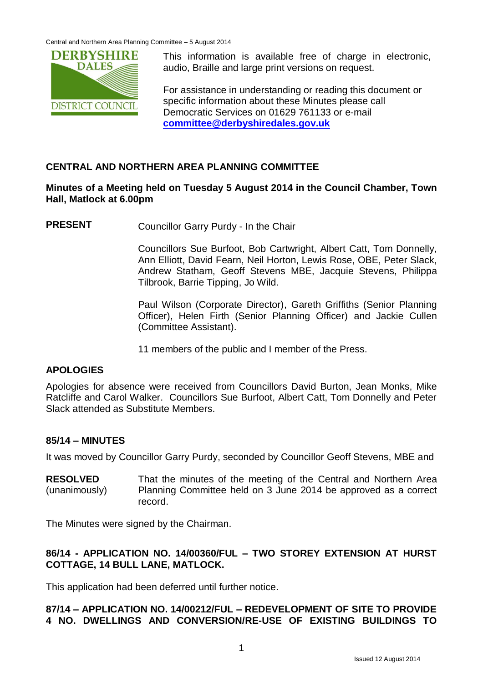Central and Northern Area Planning Committee – 5 August 2014



This information is available free of charge in electronic, audio, Braille and large print versions on request.

For assistance in understanding or reading this document or specific information about these Minutes please call Democratic Services on 01629 761133 or e-mail **[committee@derbyshiredales.gov.uk](mailto:committee@derbyshiredales.gov.uk)**

# **CENTRAL AND NORTHERN AREA PLANNING COMMITTEE**

## **Minutes of a Meeting held on Tuesday 5 August 2014 in the Council Chamber, Town Hall, Matlock at 6.00pm**

**PRESENT** Councillor Garry Purdy - In the Chair

Councillors Sue Burfoot, Bob Cartwright, Albert Catt, Tom Donnelly, Ann Elliott, David Fearn, Neil Horton, Lewis Rose, OBE, Peter Slack, Andrew Statham, Geoff Stevens MBE, Jacquie Stevens, Philippa Tilbrook, Barrie Tipping, Jo Wild.

Paul Wilson (Corporate Director), Gareth Griffiths (Senior Planning Officer), Helen Firth (Senior Planning Officer) and Jackie Cullen (Committee Assistant).

11 members of the public and I member of the Press.

#### **APOLOGIES**

Apologies for absence were received from Councillors David Burton, Jean Monks, Mike Ratcliffe and Carol Walker. Councillors Sue Burfoot, Albert Catt, Tom Donnelly and Peter Slack attended as Substitute Members.

#### **85/14 – MINUTES**

It was moved by Councillor Garry Purdy, seconded by Councillor Geoff Stevens, MBE and

**RESOLVED** (unanimously) That the minutes of the meeting of the Central and Northern Area Planning Committee held on 3 June 2014 be approved as a correct record.

The Minutes were signed by the Chairman.

# **86/14 - APPLICATION NO. 14/00360/FUL – TWO STOREY EXTENSION AT HURST COTTAGE, 14 BULL LANE, MATLOCK.**

This application had been deferred until further notice.

# **87/14 – APPLICATION NO. 14/00212/FUL – REDEVELOPMENT OF SITE TO PROVIDE 4 NO. DWELLINGS AND CONVERSION/RE-USE OF EXISTING BUILDINGS TO**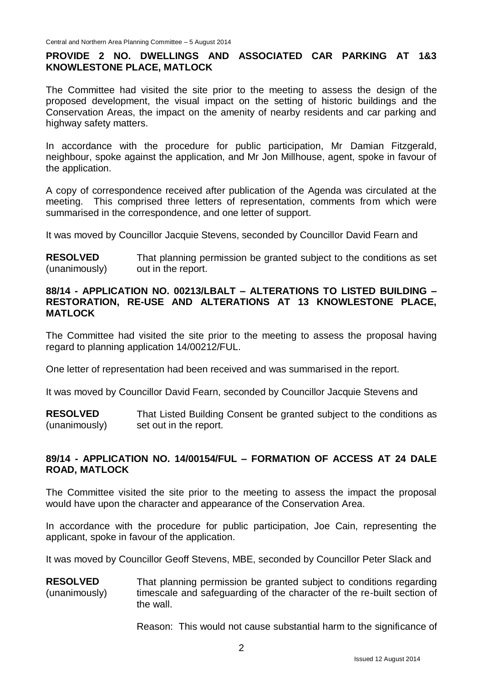# **PROVIDE 2 NO. DWELLINGS AND ASSOCIATED CAR PARKING AT 1&3 KNOWLESTONE PLACE, MATLOCK**

The Committee had visited the site prior to the meeting to assess the design of the proposed development, the visual impact on the setting of historic buildings and the Conservation Areas, the impact on the amenity of nearby residents and car parking and highway safety matters.

In accordance with the procedure for public participation, Mr Damian Fitzgerald, neighbour, spoke against the application, and Mr Jon Millhouse, agent, spoke in favour of the application.

A copy of correspondence received after publication of the Agenda was circulated at the meeting. This comprised three letters of representation, comments from which were summarised in the correspondence, and one letter of support.

It was moved by Councillor Jacquie Stevens, seconded by Councillor David Fearn and

**RESOLVED** (unanimously) That planning permission be granted subject to the conditions as set out in the report.

#### **88/14 - APPLICATION NO. 00213/LBALT – ALTERATIONS TO LISTED BUILDING – RESTORATION, RE-USE AND ALTERATIONS AT 13 KNOWLESTONE PLACE, MATLOCK**

The Committee had visited the site prior to the meeting to assess the proposal having regard to planning application 14/00212/FUL.

One letter of representation had been received and was summarised in the report.

It was moved by Councillor David Fearn, seconded by Councillor Jacquie Stevens and

**RESOLVED** (unanimously) That Listed Building Consent be granted subject to the conditions as set out in the report.

#### **89/14 - APPLICATION NO. 14/00154/FUL – FORMATION OF ACCESS AT 24 DALE ROAD, MATLOCK**

The Committee visited the site prior to the meeting to assess the impact the proposal would have upon the character and appearance of the Conservation Area.

In accordance with the procedure for public participation, Joe Cain, representing the applicant, spoke in favour of the application.

It was moved by Councillor Geoff Stevens, MBE, seconded by Councillor Peter Slack and

**RESOLVED** (unanimously) That planning permission be granted subject to conditions regarding timescale and safeguarding of the character of the re-built section of the wall.

Reason: This would not cause substantial harm to the significance of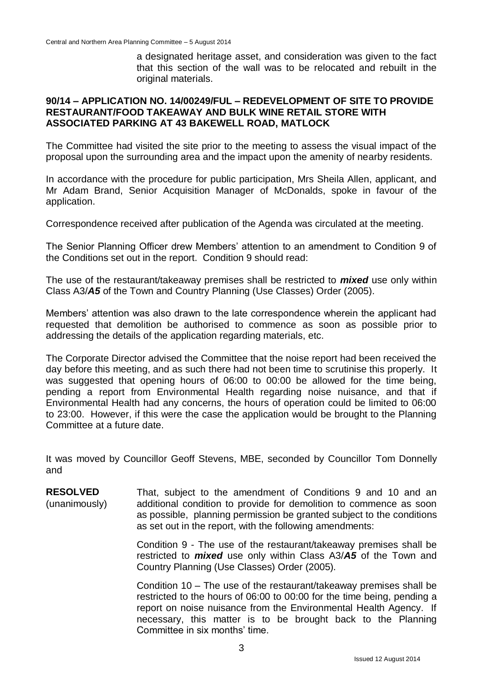a designated heritage asset, and consideration was given to the fact that this section of the wall was to be relocated and rebuilt in the original materials.

#### **90/14 – APPLICATION NO. 14/00249/FUL – REDEVELOPMENT OF SITE TO PROVIDE RESTAURANT/FOOD TAKEAWAY AND BULK WINE RETAIL STORE WITH ASSOCIATED PARKING AT 43 BAKEWELL ROAD, MATLOCK**

The Committee had visited the site prior to the meeting to assess the visual impact of the proposal upon the surrounding area and the impact upon the amenity of nearby residents.

In accordance with the procedure for public participation, Mrs Sheila Allen, applicant, and Mr Adam Brand, Senior Acquisition Manager of McDonalds, spoke in favour of the application.

Correspondence received after publication of the Agenda was circulated at the meeting.

The Senior Planning Officer drew Members' attention to an amendment to Condition 9 of the Conditions set out in the report. Condition 9 should read:

The use of the restaurant/takeaway premises shall be restricted to *mixed* use only within Class A3/*A5* of the Town and Country Planning (Use Classes) Order (2005).

Members' attention was also drawn to the late correspondence wherein the applicant had requested that demolition be authorised to commence as soon as possible prior to addressing the details of the application regarding materials, etc.

The Corporate Director advised the Committee that the noise report had been received the day before this meeting, and as such there had not been time to scrutinise this properly. It was suggested that opening hours of 06:00 to 00:00 be allowed for the time being, pending a report from Environmental Health regarding noise nuisance, and that if Environmental Health had any concerns, the hours of operation could be limited to 06:00 to 23:00. However, if this were the case the application would be brought to the Planning Committee at a future date.

It was moved by Councillor Geoff Stevens, MBE, seconded by Councillor Tom Donnelly and

**RESOLVED** (unanimously) That, subject to the amendment of Conditions 9 and 10 and an additional condition to provide for demolition to commence as soon as possible, planning permission be granted subject to the conditions as set out in the report, with the following amendments:

> Condition 9 - The use of the restaurant/takeaway premises shall be restricted to *mixed* use only within Class A3/*A5* of the Town and Country Planning (Use Classes) Order (2005).

> Condition 10 – The use of the restaurant/takeaway premises shall be restricted to the hours of 06:00 to 00:00 for the time being, pending a report on noise nuisance from the Environmental Health Agency. If necessary, this matter is to be brought back to the Planning Committee in six months' time.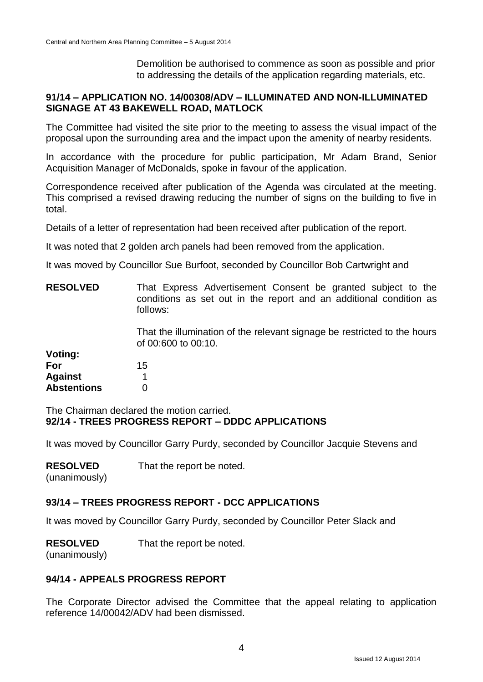Demolition be authorised to commence as soon as possible and prior to addressing the details of the application regarding materials, etc.

# **91/14 – APPLICATION NO. 14/00308/ADV – ILLUMINATED AND NON-ILLUMINATED SIGNAGE AT 43 BAKEWELL ROAD, MATLOCK**

The Committee had visited the site prior to the meeting to assess the visual impact of the proposal upon the surrounding area and the impact upon the amenity of nearby residents.

In accordance with the procedure for public participation, Mr Adam Brand, Senior Acquisition Manager of McDonalds, spoke in favour of the application.

Correspondence received after publication of the Agenda was circulated at the meeting. This comprised a revised drawing reducing the number of signs on the building to five in total.

Details of a letter of representation had been received after publication of the report*.*

It was noted that 2 golden arch panels had been removed from the application.

It was moved by Councillor Sue Burfoot, seconded by Councillor Bob Cartwright and

| <b>RESOLVED</b>    | That Express Advertisement Consent be granted subject to the<br>conditions as set out in the report and an additional condition as<br>follows: |  |  |  |
|--------------------|------------------------------------------------------------------------------------------------------------------------------------------------|--|--|--|
|                    | That the illumination of the relevant signage be restricted to the hours<br>of 00:600 to 00:10.                                                |  |  |  |
| Voting:            |                                                                                                                                                |  |  |  |
| For                | 15                                                                                                                                             |  |  |  |
| <b>Against</b>     |                                                                                                                                                |  |  |  |
| <b>Abstentions</b> |                                                                                                                                                |  |  |  |

The Chairman declared the motion carried. **92/14 - TREES PROGRESS REPORT – DDDC APPLICATIONS**

It was moved by Councillor Garry Purdy, seconded by Councillor Jacquie Stevens and

| <b>RESOLVED</b> |  | That the report be noted. |  |
|-----------------|--|---------------------------|--|
|                 |  |                           |  |

(unanimously)

# **93/14 – TREES PROGRESS REPORT - DCC APPLICATIONS**

It was moved by Councillor Garry Purdy, seconded by Councillor Peter Slack and

| <b>RESOLVED</b> | That the report be noted. |
|-----------------|---------------------------|
|-----------------|---------------------------|

(unanimously)

#### **94/14 - APPEALS PROGRESS REPORT**

The Corporate Director advised the Committee that the appeal relating to application reference 14/00042/ADV had been dismissed.